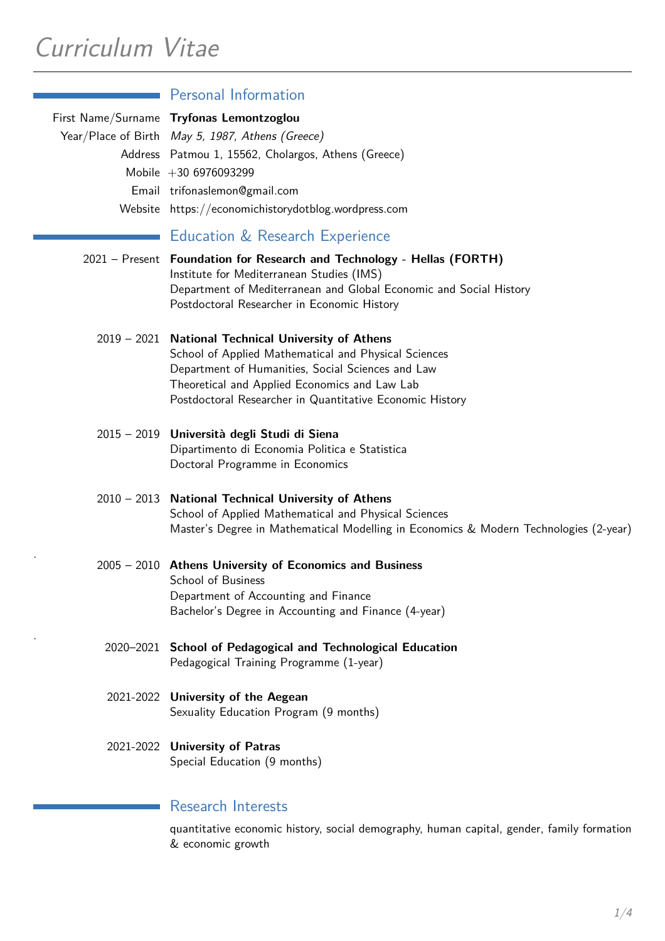|           | <b>Personal Information</b>                                                                                                                                                                                                                                                   |
|-----------|-------------------------------------------------------------------------------------------------------------------------------------------------------------------------------------------------------------------------------------------------------------------------------|
|           | First Name/Surname Tryfonas Lemontzoglou<br>Year/Place of Birth May 5, 1987, Athens (Greece)<br>Address Patmou 1, 15562, Cholargos, Athens (Greece)<br>Mobile $+306976093299$<br>Email trifonaslemon@gmail.com<br>Website https://economichistorydotblog.wordpress.com        |
|           | Education & Research Experience                                                                                                                                                                                                                                               |
|           | 2021 - Present Foundation for Research and Technology - Hellas (FORTH)<br>Institute for Mediterranean Studies (IMS)<br>Department of Mediterranean and Global Economic and Social History<br>Postdoctoral Researcher in Economic History                                      |
|           | 2019 - 2021 National Technical University of Athens<br>School of Applied Mathematical and Physical Sciences<br>Department of Humanities, Social Sciences and Law<br>Theoretical and Applied Economics and Law Lab<br>Postdoctoral Researcher in Quantitative Economic History |
|           | 2015 - 2019 Università degli Studi di Siena<br>Dipartimento di Economia Politica e Statistica<br>Doctoral Programme in Economics                                                                                                                                              |
|           | 2010 - 2013 National Technical University of Athens<br>School of Applied Mathematical and Physical Sciences<br>Master's Degree in Mathematical Modelling in Economics & Modern Technologies (2-year)                                                                          |
|           | 2005 - 2010 Athens University of Economics and Business<br><b>School of Business</b><br>Department of Accounting and Finance<br>Bachelor's Degree in Accounting and Finance (4-year)                                                                                          |
|           | 2020-2021 School of Pedagogical and Technological Education<br>Pedagogical Training Programme (1-year)                                                                                                                                                                        |
|           | 2021-2022 University of the Aegean<br>Sexuality Education Program (9 months)                                                                                                                                                                                                  |
| 2021-2022 | <b>University of Patras</b><br>Special Education (9 months)                                                                                                                                                                                                                   |
|           | <b>Research Interests</b>                                                                                                                                                                                                                                                     |

quantitative economic history, social demography, human capital, gender, family formation & economic growth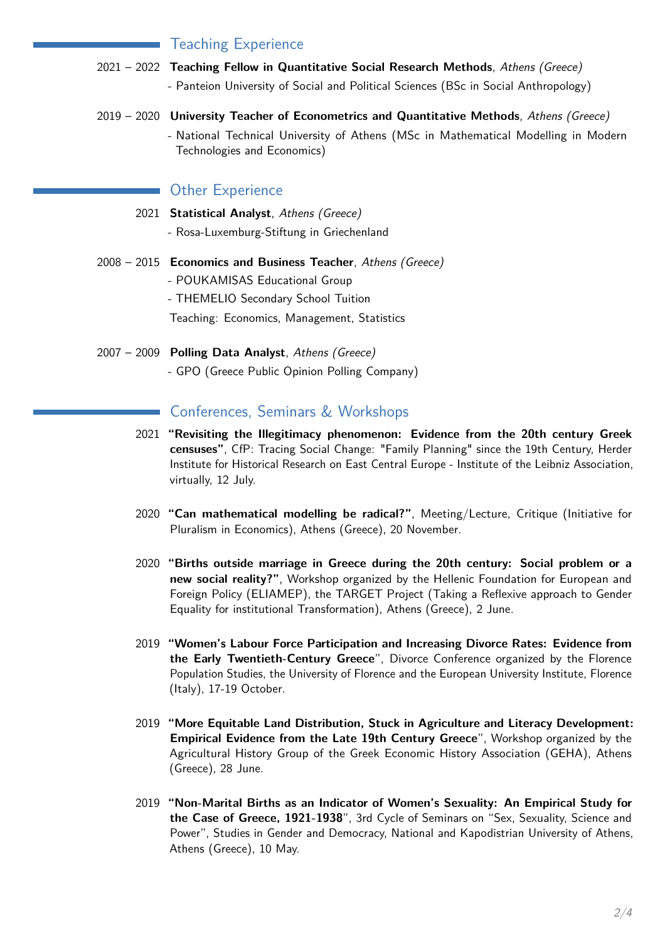### Teaching Experience

- 2021 2022 **Teaching Fellow in Quantitative Social Research Methods**, *Athens (Greece)* - Panteion University of Social and Political Sciences (BSc in Social Anthropology)
- 2019 2020 **University Teacher of Econometrics and Quantitative Methods**, *Athens (Greece)* - National Technical University of Athens (MSc in Mathematical Modelling in Modern Technologies and Economics)

### Other Experience

 $\mathcal{L}_{\mathcal{A}}$ 

- 2021 **Statistical Analyst**, *Athens (Greece)*
	- Rosa-Luxemburg-Stiftung in Griechenland
- 2008 2015 **Economics and Business Teacher**, *Athens (Greece)* - POUKAMISAS Educational Group - THEMELIO Secondary School Tuition Teaching: Economics, Management, Statistics
- 2007 2009 **Polling Data Analyst**, *Athens (Greece)* - GPO (Greece Public Opinion Polling Company)

### Conferences, Seminars & Workshops

- 2021 **"Revisiting the Illegitimacy phenomenon: Evidence from the 20th century Greek censuses"**, CfP: Tracing Social Change: "Family Planning" since the 19th Century, Herder Institute for Historical Research on East Central Europe - Institute of the Leibniz Association, virtually, 12 July.
- 2020 **"Can mathematical modelling be radical?"**, Meeting/Lecture, Critique (Initiative for Pluralism in Economics), Athens (Greece), 20 November.
- 2020 **"Births outside marriage in Greece during the 20th century: Social problem or a new social reality?"**, Workshop organized by the Hellenic Foundation for European and Foreign Policy (ELIAMEP), the TARGET Project (Taking a Reflexive approach to Gender Equality for institutional Transformation), Athens (Greece), 2 June.
- 2019 **"Women's Labour Force Participation and Increasing Divorce Rates: Evidence from the Early Twentieth-Century Greece**", Divorce Conference organized by the Florence Population Studies, the University of Florence and the European University Institute, Florence (Italy), 17-19 October.
- 2019 **"More Equitable Land Distribution, Stuck in Agriculture and Literacy Development: Empirical Evidence from the Late 19th Century Greece**", Workshop organized by the Agricultural History Group of the Greek Economic History Association (GEHA), Athens (Greece), 28 June.
- 2019 **"Non-Marital Births as an Indicator of Women's Sexuality: An Empirical Study for the Case of Greece, 1921-1938**", 3rd Cycle of Seminars on "Sex, Sexuality, Science and Power", Studies in Gender and Democracy, National and Kapodistrian University of Athens, Athens (Greece), 10 May.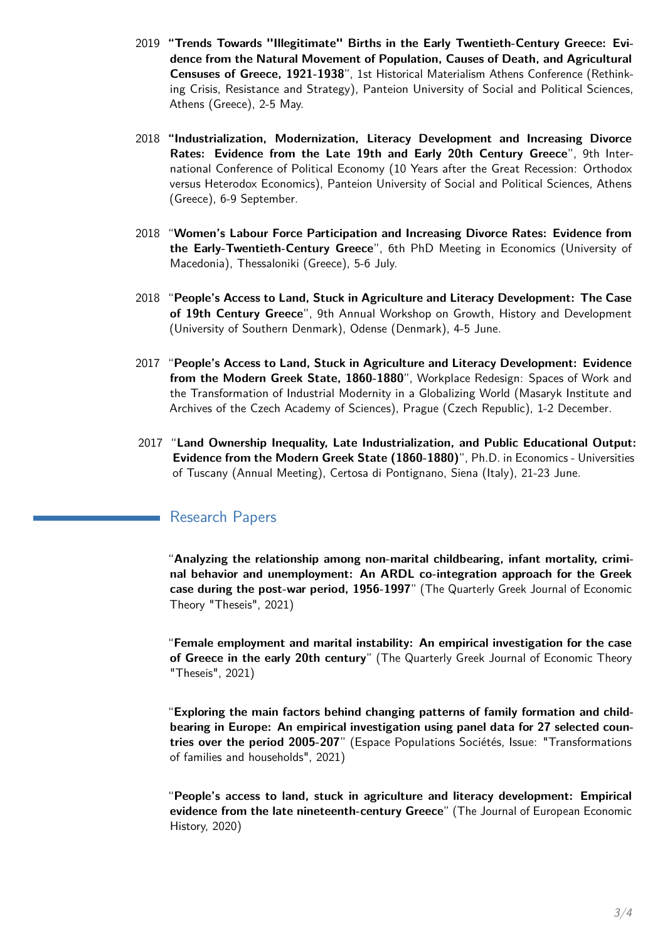- 2019 **"Trends Towards "Illegitimate" Births in the Early Twentieth-Century Greece: Evidence from the Natural Movement of Population, Causes of Death, and Agricultural Censuses of Greece, 1921-1938**", 1st Historical Materialism Athens Conference (Rethinking Crisis, Resistance and Strategy), Panteion University of Social and Political Sciences, Athens (Greece), 2-5 May.
- 2018 **"Industrialization, Modernization, Literacy Development and Increasing Divorce Rates: Evidence from the Late 19th and Early 20th Century Greece**", 9th International Conference of Political Economy (10 Years after the Great Recession: Orthodox versus Heterodox Economics), Panteion University of Social and Political Sciences, Athens (Greece), 6-9 September.
- 2018 "**Women's Labour Force Participation and Increasing Divorce Rates: Evidence from the Early-Twentieth-Century Greece**", 6th PhD Meeting in Economics (University of Macedonia), Thessaloniki (Greece), 5-6 July.
- 2018 "**People's Access to Land, Stuck in Agriculture and Literacy Development: The Case of 19th Century Greece**", 9th Annual Workshop on Growth, History and Development (University of Southern Denmark), Odense (Denmark), 4-5 June.
- 2017 "**People's Access to Land, Stuck in Agriculture and Literacy Development: Evidence from the Modern Greek State, 1860-1880**", Workplace Redesign: Spaces of Work and the Transformation of Industrial Modernity in a Globalizing World (Masaryk Institute and Archives of the Czech Academy of Sciences), Prague (Czech Republic), 1-2 December.
- 2017 "**Land Ownership Inequality, Late Industrialization, and Public Educational Output: Evidence from the Modern Greek State (1860-1880)**", Ph.D. in Economics - Universities of Tuscany (Annual Meeting), Certosa di Pontignano, Siena (Italy), 21-23 June.

### Research Papers

"**Analyzing the relationship among non-marital childbearing, infant mortality, criminal behavior and unemployment: An ARDL co-integration approach for the Greek case during the post-war period, 1956-1997**" (The Quarterly Greek Journal of Economic Theory "Theseis", 2021)

"**Female employment and marital instability: An empirical investigation for the case of Greece in the early 20th century**" (The Quarterly Greek Journal of Economic Theory "Theseis", 2021)

"**Exploring the main factors behind changing patterns of family formation and childbearing in Europe: An empirical investigation using panel data for 27 selected countries over the period 2005-207**" (Espace Populations Sociétés, Issue: "Transformations of families and households", 2021)

"**People's access to land, stuck in agriculture and literacy development: Empirical evidence from the late nineteenth-century Greece**" (The Journal of European Economic History, 2020)